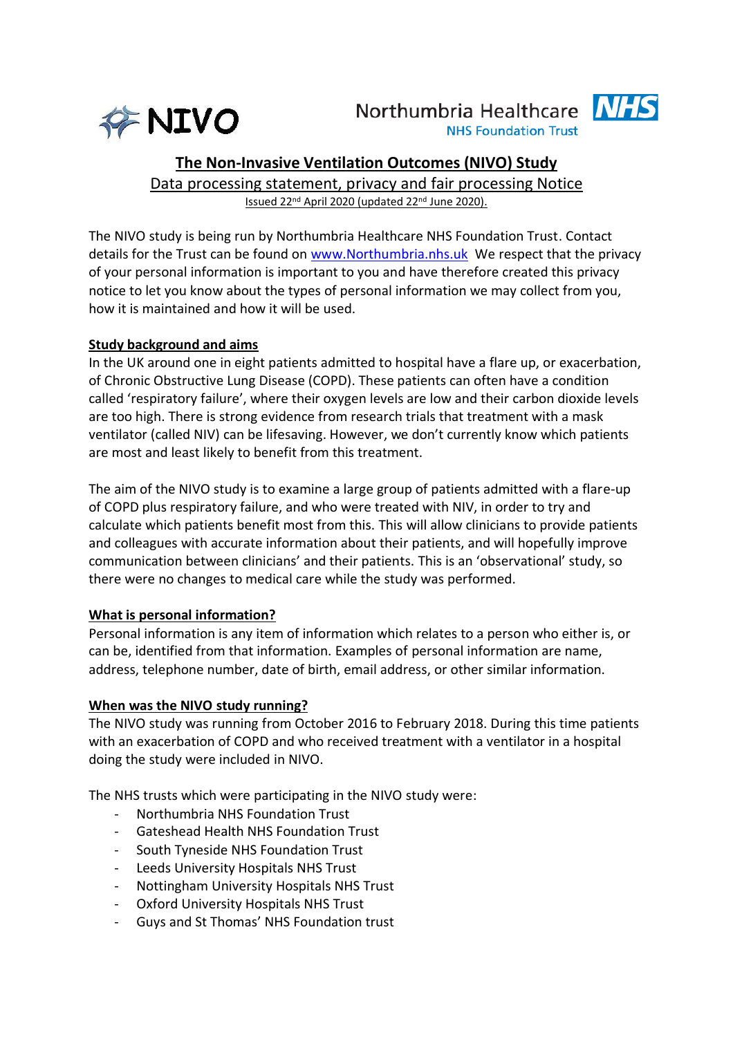

# Northumbria Healthcare **NHS**



**NHS Foundation Trust** 

## **The Non-Invasive Ventilation Outcomes (NIVO) Study**

Data processing statement, privacy and fair processing Notice Issued 22nd April 2020 (updated 22nd June 2020).

The NIVO study is being run by Northumbria Healthcare NHS Foundation Trust. Contact details for the Trust can be found on [www.Northumbria.nhs.uk](http://www.northumbria.nhs.uk/) We respect that the privacy of your personal information is important to you and have therefore created this privacy notice to let you know about the types of personal information we may collect from you, how it is maintained and how it will be used.

## **Study background and aims**

In the UK around one in eight patients admitted to hospital have a flare up, or exacerbation, of Chronic Obstructive Lung Disease (COPD). These patients can often have a condition called 'respiratory failure', where their oxygen levels are low and their carbon dioxide levels are too high. There is strong evidence from research trials that treatment with a mask ventilator (called NIV) can be lifesaving. However, we don't currently know which patients are most and least likely to benefit from this treatment.

The aim of the NIVO study is to examine a large group of patients admitted with a flare-up of COPD plus respiratory failure, and who were treated with NIV, in order to try and calculate which patients benefit most from this. This will allow clinicians to provide patients and colleagues with accurate information about their patients, and will hopefully improve communication between clinicians' and their patients. This is an 'observational' study, so there were no changes to medical care while the study was performed.

## **What is personal information?**

Personal information is any item of information which relates to a person who either is, or can be, identified from that information. Examples of personal information are name, address, telephone number, date of birth, email address, or other similar information.

## **When was the NIVO study running?**

The NIVO study was running from October 2016 to February 2018. During this time patients with an exacerbation of COPD and who received treatment with a ventilator in a hospital doing the study were included in NIVO.

The NHS trusts which were participating in the NIVO study were:

- Northumbria NHS Foundation Trust
- Gateshead Health NHS Foundation Trust
- South Tyneside NHS Foundation Trust
- Leeds University Hospitals NHS Trust
- Nottingham University Hospitals NHS Trust
- Oxford University Hospitals NHS Trust
- Guys and St Thomas' NHS Foundation trust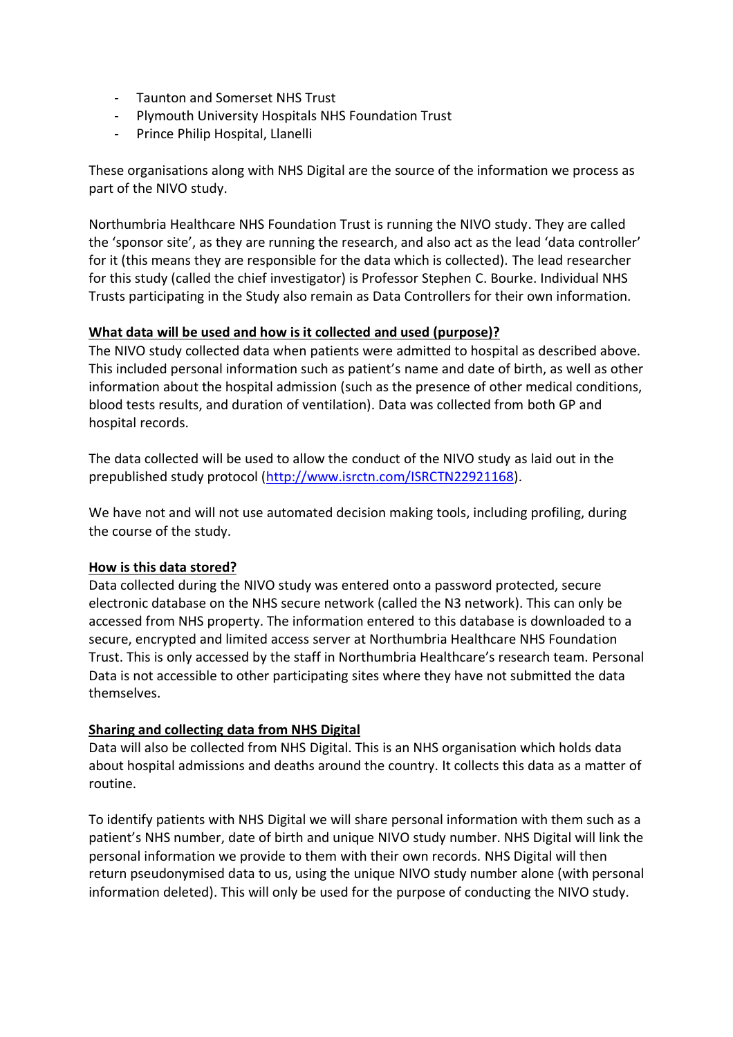- Taunton and Somerset NHS Trust
- Plymouth University Hospitals NHS Foundation Trust
- Prince Philip Hospital, Llanelli

These organisations along with NHS Digital are the source of the information we process as part of the NIVO study.

Northumbria Healthcare NHS Foundation Trust is running the NIVO study. They are called the 'sponsor site', as they are running the research, and also act as the lead 'data controller' for it (this means they are responsible for the data which is collected). The lead researcher for this study (called the chief investigator) is Professor Stephen C. Bourke. Individual NHS Trusts participating in the Study also remain as Data Controllers for their own information.

#### **What data will be used and how is it collected and used (purpose)?**

The NIVO study collected data when patients were admitted to hospital as described above. This included personal information such as patient's name and date of birth, as well as other information about the hospital admission (such as the presence of other medical conditions, blood tests results, and duration of ventilation). Data was collected from both GP and hospital records.

The data collected will be used to allow the conduct of the NIVO study as laid out in the prepublished study protocol [\(http://www.isrctn.com/ISRCTN22921168\)](http://www.isrctn.com/ISRCTN22921168).

We have not and will not use automated decision making tools, including profiling, during the course of the study.

## **How is this data stored?**

Data collected during the NIVO study was entered onto a password protected, secure electronic database on the NHS secure network (called the N3 network). This can only be accessed from NHS property. The information entered to this database is downloaded to a secure, encrypted and limited access server at Northumbria Healthcare NHS Foundation Trust. This is only accessed by the staff in Northumbria Healthcare's research team. Personal Data is not accessible to other participating sites where they have not submitted the data themselves.

## **Sharing and collecting data from NHS Digital**

Data will also be collected from NHS Digital. This is an NHS organisation which holds data about hospital admissions and deaths around the country. It collects this data as a matter of routine.

To identify patients with NHS Digital we will share personal information with them such as a patient's NHS number, date of birth and unique NIVO study number. NHS Digital will link the personal information we provide to them with their own records. NHS Digital will then return pseudonymised data to us, using the unique NIVO study number alone (with personal information deleted). This will only be used for the purpose of conducting the NIVO study.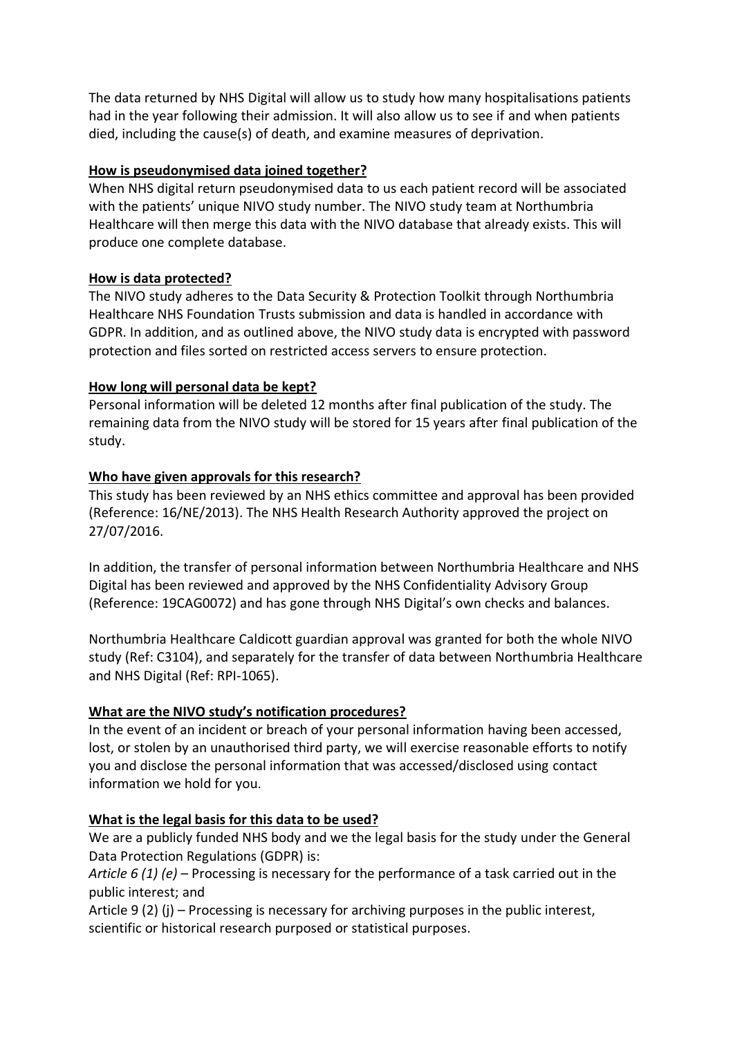The data returned by NHS Digital will allow us to study how many hospitalisations patients had in the year following their admission. It will also allow us to see if and when patients died, including the cause(s) of death, and examine measures of deprivation.

## **How is pseudonymised data joined together?**

When NHS digital return pseudonymised data to us each patient record will be associated with the patients' unique NIVO study number. The NIVO study team at Northumbria Healthcare will then merge this data with the NIVO database that already exists. This will produce one complete database.

## **How is data protected?**

The NIVO study adheres to the Data Security & Protection Toolkit through Northumbria Healthcare NHS Foundation Trusts submission and data is handled in accordance with GDPR. In addition, and as outlined above, the NIVO study data is encrypted with password protection and files sorted on restricted access servers to ensure protection.

## **How long will personal data be kept?**

Personal information will be deleted 12 months after final publication of the study. The remaining data from the NIVO study will be stored for 15 years after final publication of the study.

## **Who have given approvals for this research?**

This study has been reviewed by an NHS ethics committee and approval has been provided (Reference: 16/NE/2013). The NHS Health Research Authority approved the project on 27/07/2016.

In addition, the transfer of personal information between Northumbria Healthcare and NHS Digital has been reviewed and approved by the NHS Confidentiality Advisory Group (Reference: 19CAG0072) and has gone through NHS Digital's own checks and balances.

Northumbria Healthcare Caldicott guardian approval was granted for both the whole NIVO study (Ref: C3104), and separately for the transfer of data between Northumbria Healthcare and NHS Digital (Ref: RPI-1065).

## **What are the NIVO study's notification procedures?**

In the event of an incident or breach of your personal information having been accessed, lost, or stolen by an unauthorised third party, we will exercise reasonable efforts to notify you and disclose the personal information that was accessed/disclosed using contact information we hold for you.

## **What is the legal basis for this data to be used?**

We are a publicly funded NHS body and we the legal basis for the study under the General Data Protection Regulations (GDPR) is:

*Article 6 (1) (e)* – Processing is necessary for the performance of a task carried out in the public interest; and

Article 9 (2) (j) – Processing is necessary for archiving purposes in the public interest, scientific or historical research purposed or statistical purposes.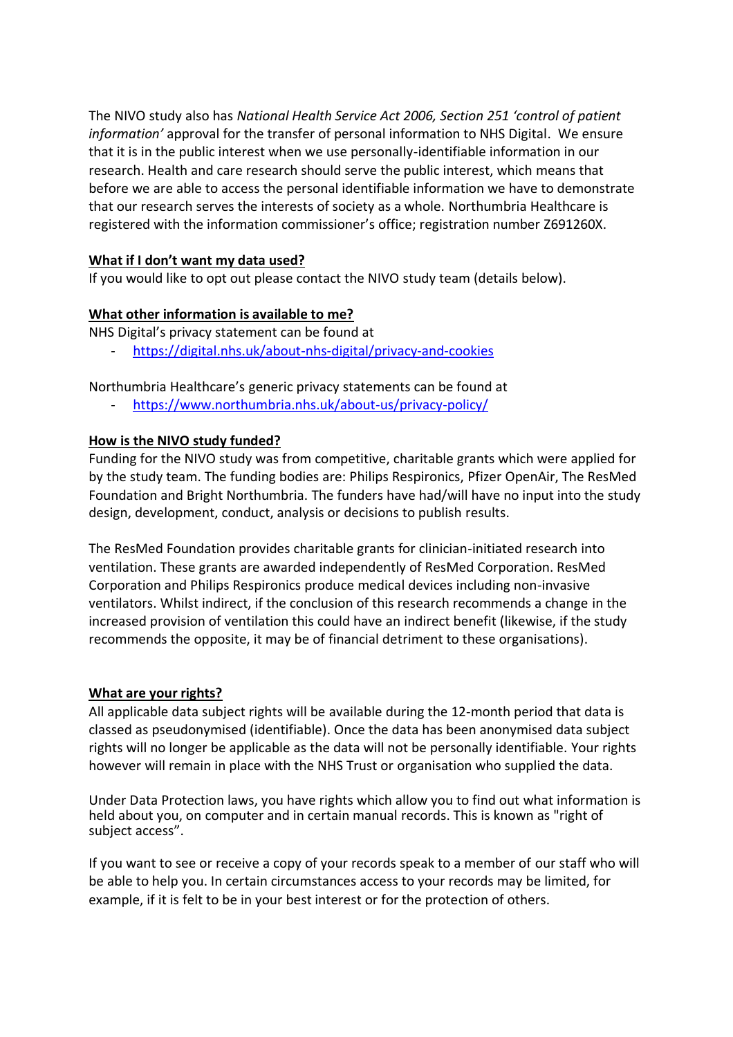The NIVO study also has *National Health Service Act 2006, Section 251 'control of patient information'* approval for the transfer of personal information to NHS Digital. We ensure that it is in the public interest when we use personally-identifiable information in our research. Health and care research should serve the public interest, which means that before we are able to access the personal identifiable information we have to demonstrate that our research serves the interests of society as a whole. Northumbria Healthcare is registered with the information commissioner's office; registration number Z691260X.

## **What if I don't want my data used?**

If you would like to opt out please contact the NIVO study team (details below).

## **What other information is available to me?**

NHS Digital's privacy statement can be found at

- <https://digital.nhs.uk/about-nhs-digital/privacy-and-cookies>

Northumbria Healthcare's generic privacy statements can be found at

<https://www.northumbria.nhs.uk/about-us/privacy-policy/>

## **How is the NIVO study funded?**

Funding for the NIVO study was from competitive, charitable grants which were applied for by the study team. The funding bodies are: Philips Respironics, Pfizer OpenAir, The ResMed Foundation and Bright Northumbria. The funders have had/will have no input into the study design, development, conduct, analysis or decisions to publish results.

The ResMed Foundation provides charitable grants for clinician-initiated research into ventilation. These grants are awarded independently of ResMed Corporation. ResMed Corporation and Philips Respironics produce medical devices including non-invasive ventilators. Whilst indirect, if the conclusion of this research recommends a change in the increased provision of ventilation this could have an indirect benefit (likewise, if the study recommends the opposite, it may be of financial detriment to these organisations).

## **What are your rights?**

All applicable data subject rights will be available during the 12-month period that data is classed as pseudonymised (identifiable). Once the data has been anonymised data subject rights will no longer be applicable as the data will not be personally identifiable. Your rights however will remain in place with the NHS Trust or organisation who supplied the data.

Under Data Protection laws, you have rights which allow you to find out what information is held about you, on computer and in certain manual records. This is known as "right of subject access".

If you want to see or receive a copy of your records speak to a member of our staff who will be able to help you. In certain circumstances access to your records may be limited, for example, if it is felt to be in your best interest or for the protection of others.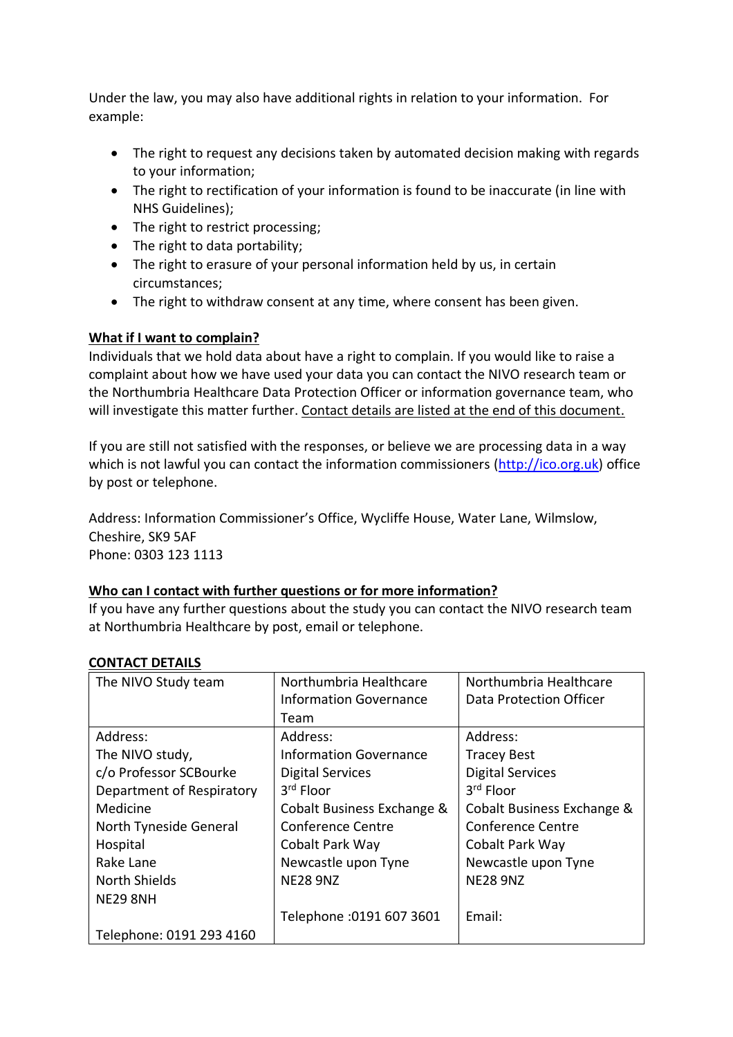Under the law, you may also have additional rights in relation to your information. For example:

- The right to request any decisions taken by automated decision making with regards to your information;
- The right to rectification of your information is found to be inaccurate (in line with NHS Guidelines);
- The right to restrict processing;
- The right to data portability;
- The right to erasure of your personal information held by us, in certain circumstances;
- The right to withdraw consent at any time, where consent has been given.

## **What if I want to complain?**

Individuals that we hold data about have a right to complain. If you would like to raise a complaint about how we have used your data you can contact the NIVO research team or the Northumbria Healthcare Data Protection Officer or information governance team, who will investigate this matter further. Contact details are listed at the end of this document.

If you are still not satisfied with the responses, or believe we are processing data in a way which is not lawful you can contact the information commissioners [\(http://ico.org.uk\)](http://ico.org.uk/) office by post or telephone.

Address: Information Commissioner's Office, Wycliffe House, Water Lane, Wilmslow, Cheshire, SK9 5AF Phone: 0303 123 1113

#### **Who can I contact with further questions or for more information?**

If you have any further questions about the study you can contact the NIVO research team at Northumbria Healthcare by post, email or telephone.

| The NIVO Study team       | Northumbria Healthcare        | Northumbria Healthcare     |
|---------------------------|-------------------------------|----------------------------|
|                           | <b>Information Governance</b> | Data Protection Officer    |
|                           | Team                          |                            |
| Address:                  | Address:                      | Address:                   |
| The NIVO study,           | <b>Information Governance</b> | <b>Tracey Best</b>         |
| c/o Professor SCBourke    | <b>Digital Services</b>       | <b>Digital Services</b>    |
| Department of Respiratory | 3rd Floor                     | 3rd Floor                  |
| Medicine                  | Cobalt Business Exchange &    | Cobalt Business Exchange & |
| North Tyneside General    | <b>Conference Centre</b>      | <b>Conference Centre</b>   |
| Hospital                  | Cobalt Park Way               | Cobalt Park Way            |
| Rake Lane                 | Newcastle upon Tyne           | Newcastle upon Tyne        |
| <b>North Shields</b>      | <b>NE28 9NZ</b>               | <b>NE28 9NZ</b>            |
| <b>NE29 8NH</b>           |                               |                            |
|                           | Telephone : 0191 607 3601     | Email:                     |
| Telephone: 0191 293 4160  |                               |                            |

#### **CONTACT DETAILS**